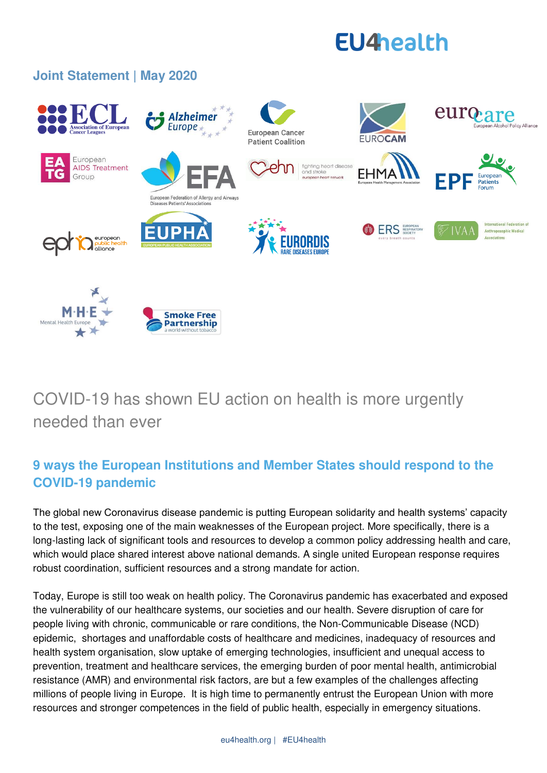# **EU4health**

## **Joint Statement | May 2020**

Mental Heal



# COVID-19 has shown EU action on health is more urgently needed than ever

**Smoke Free** 

**Partnership** 

# **9 ways the European Institutions and Member States should respond to the COVID-19 pandemic**

The global new Coronavirus disease pandemic is putting European solidarity and health systems' capacity to the test, exposing one of the main weaknesses of the European project. More specifically, there is a long-lasting lack of significant tools and resources to develop a common policy addressing health and care, which would place shared interest above national demands. A single united European response requires robust coordination, sufficient resources and a strong mandate for action.

Today, Europe is still too weak on health policy. The Coronavirus pandemic has exacerbated and exposed the vulnerability of our healthcare systems, our societies and our health. Severe disruption of care for people living with chronic, communicable or rare conditions, the Non-Communicable Disease (NCD) epidemic, shortages and unaffordable costs of healthcare and medicines, inadequacy of resources and health system organisation, slow uptake of emerging technologies, insufficient and unequal access to prevention, treatment and healthcare services, the emerging burden of poor mental health, antimicrobial resistance (AMR) and environmental risk factors, are but a few examples of the challenges affecting millions of people living in Europe. It is high time to permanently entrust the European Union with more resources and stronger competences in the field of public health, especially in emergency situations.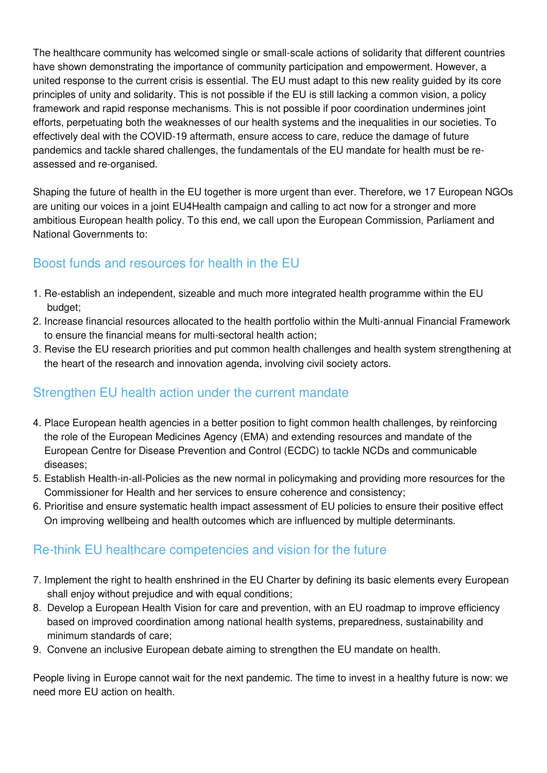The healthcare community has welcomed single or small-scale actions of solidarity that different countries have shown demonstrating the importance of community participation and empowerment. However, a united response to the current crisis is essential. The EU must adapt to this new reality guided by its core principles of unity and solidarity. This is not possible if the EU is still lacking a common vision, a policy framework and rapid response mechanisms. This is not possible if poor coordination undermines joint efforts, perpetuating both the weaknesses of our health systems and the inequalities in our societies. To effectively deal with the COVID-19 aftermath, ensure access to care, reduce the damage of future pandemics and tackle shared challenges, the fundamentals of the EU mandate for health must be reassessed and re-organised.

Shaping the future of health in the EU together is more urgent than ever. Therefore, we 17 European NGOs are uniting our voices in a joint [EU4Health c](https://eu4health.eu/about-us)ampaign and calling to act now for a stronger and more ambitious European health policy. To this end, we call upon the European Commission, Parliament and National Governments to:

### Boost funds and resources for health in the EU

- 1. Re-establish an independent, sizeable and much more integrated health programme within the EU budget;
- 2. Increase financial resources allocated to the health portfolio within the Multi-annual Financial Framework to ensure the financial means for multi-sectoral health action;
- 3. Revise the EU research priorities and put common health challenges and health system strengthening at the heart of the research and innovation agenda, involving civil society actors.

#### Strengthen EU health action under the current mandate

- 4. Place European health agencies in a better position to fight common health challenges, by reinforcing the role of the European Medicines Agency (EMA) and extending resources and mandate of the European Centre for Disease Prevention and Control (ECDC) to tackle NCDs and communicable diseases;
- 5. Establish Health-in-all-Policies as the new normal in policymaking and providing more resources for the Commissioner for Health and her services to ensure coherence and consistency;
- 6. Prioritise and ensure systematic health impact assessment of EU policies to ensure their positive effect On improving wellbeing and health outcomes which are influenced by multiple determinants.

#### Re-think EU healthcare competencies and vision for the future

- 7. Implement the right to health enshrined in the EU Charter by defining its basic elements every European shall enjoy without prejudice and with equal conditions;
- 8. Develop a European Health Vision for care and prevention, with an EU roadmap to improve efficiency based on improved coordination among national health systems, preparedness, sustainability and minimum standards of care;
- 9. Convene an inclusive European debate aiming to strengthen the EU mandate on health.

People living in Europe cannot wait for the next pandemic. The time to invest in a healthy future is now: we need more EU action on health.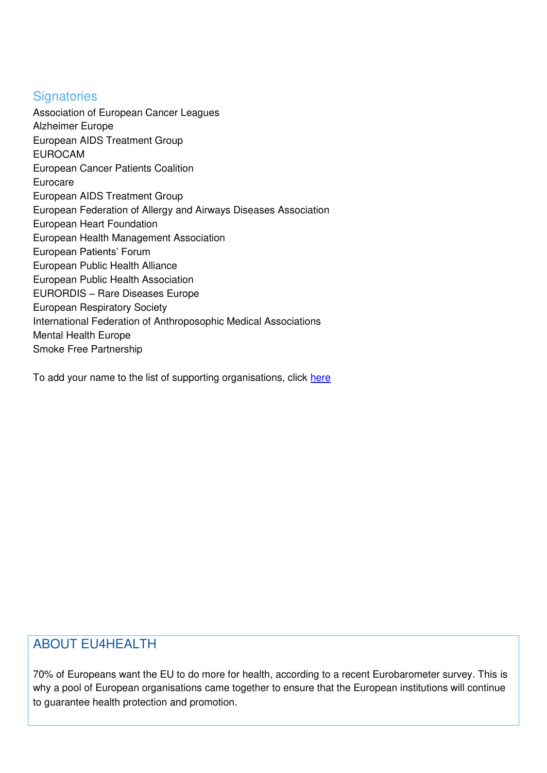#### **Signatories**

Association of European Cancer Leagues Alzheimer Europe European AIDS Treatment Group EUROCAM European Cancer Patients Coalition Eurocare European AIDS Treatment Group European Federation of Allergy and Airways Diseases Association European Heart Foundation European Health Management Association European Patients' Forum European Public Health Alliance European Public Health Association EURORDIS – Rare Diseases Europe European Respiratory Society International Federation of Anthroposophic Medical Associations Mental Health Europe Smoke Free Partnership

To add your name to the list of supporting organisations, click [here](https://forms.gle/VpoBEBvQvnhZJzkJ8)

#### ABOUT EU4HEALTH

70% of Europeans want the EU to do more for health, according to a recent Eurobarometer survey. This is why a pool of European organisations came together to ensure that the European institutions will continue to guarantee health protection and promotion.